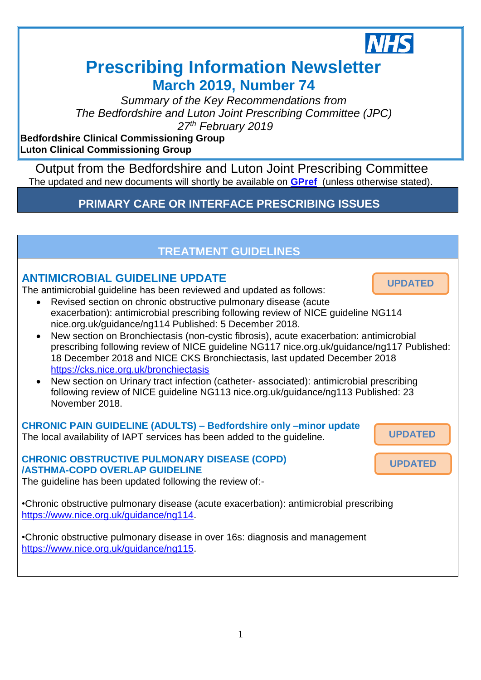

Ī.

# **Prescribing Information Newsletter March 2019, Number 74**

*Summary of the Key Recommendations from The Bedfordshire and Luton Joint Prescribing Committee (JPC) 27th February 2019*

**Bedfordshire Clinical Commissioning Group Luton Clinical Commissioning Group**

Output from the Bedfordshire and Luton Joint Prescribing Committee The updated and new documents will shortly be available on **[GPref](http://www.gpref.bedfordshire.nhs.uk/referrals/bedfordshire-and-luton-joint-prescribing-committee-(jpc).aspx)** (unless otherwise stated).

## **PRIMARY CARE OR INTERFACE PRESCRIBING ISSUES**

#### **TREATMENT GUIDELINES ANTIMICROBIAL GUIDELINE UPDATE**  The antimicrobial guideline has been reviewed and updated as follows: Revised section on chronic obstructive pulmonary disease (acute exacerbation): antimicrobial prescribing following review of NICE guideline NG114 nice.org.uk/guidance/ng114 Published: 5 December 2018. New section on Bronchiectasis (non-cystic fibrosis), acute exacerbation: antimicrobial prescribing following review of NICE guideline NG117 nice.org.uk/guidance/ng117 Published: 18 December 2018 and NICE CKS Bronchiectasis, last updated December 2018 <https://cks.nice.org.uk/bronchiectasis> New section on Urinary tract infection (catheter- associated): antimicrobial prescribing following review of NICE guideline NG113 nice.org.uk/guidance/ng113 Published: 23 November 2018. **CHRONIC PAIN GUIDELINE (ADULTS) – Bedfordshire only –minor update** The local availability of IAPT services has been added to the guideline. **CHRONIC OBSTRUCTIVE PULMONARY DISEASE (COPD) /ASTHMA-COPD OVERLAP GUIDELINE**  The guideline has been updated following the review of:- •Chronic obstructive pulmonary disease (acute exacerbation): antimicrobial prescribing [https://www.nice.org.uk/guidance/ng114.](https://www.nice.org.uk/guidance/ng114) •Chronic obstructive pulmonary disease in over 16s: diagnosis and management [https://www.nice.org.uk/guidance/ng115.](https://www.nice.org.uk/guidance/ng115) *28th November 2018* **UPDATED UPDATED UPDATED**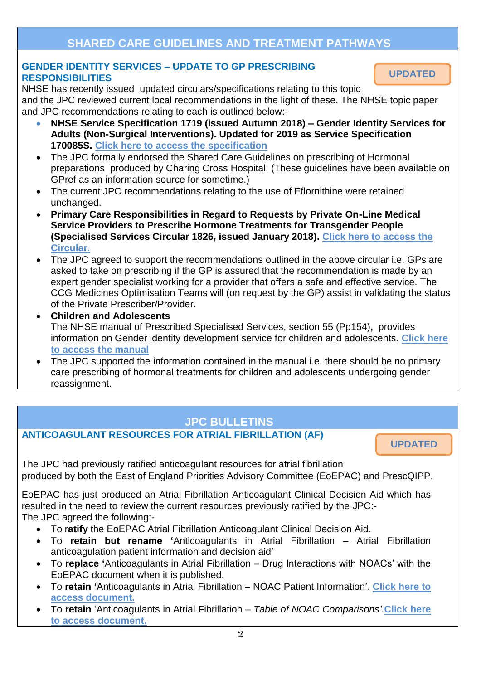## **SHARED CARE GUIDELINES AND TREATMENT PATHWAYS**

#### **GENDER IDENTITY SERVICES – UPDATE TO GP PRESCRIBING RESPONSIBILITIES**

NHSE has recently issued updated circulars/specifications relating to this topic and the JPC reviewed current local recommendations in the light of these. The NHSE topic paper and JPC recommendations relating to each is outlined below:-

- **NHSE Service Specification 1719 (issued Autumn 2018) – Gender Identity Services for Adults (Non-Surgical Interventions). Updated for 2019 as Service Specification 170085S. [Click here to access the specification](https://www.england.nhs.uk/wp-content/uploads/2018/10/Gender-identity-services-for-adults-non-surgical-interventions.pdf)**
- The JPC formally endorsed the Shared Care Guidelines on prescribing of Hormonal preparations produced by Charing Cross Hospital. (These guidelines have been available on GPref as an information source for sometime.)
- The current JPC recommendations relating to the use of Eflornithine were retained unchanged.
- **Primary Care Responsibilities in Regard to Requests by Private On-Line Medical Service Providers to Prescribe Hormone Treatments for Transgender People (Specialised Services Circular 1826, issued January 2018). [Click here to access the](https://gendergp.co.uk/wp-content/uploads/2018/02/GMC-advice-to-GPs-on-online-specialists.pdf)  [Circular.](https://gendergp.co.uk/wp-content/uploads/2018/02/GMC-advice-to-GPs-on-online-specialists.pdf)**
- The JPC agreed to support the recommendations outlined in the above circular i.e. GPs are asked to take on prescribing if the GP is assured that the recommendation is made by an expert gender specialist working for a provider that offers a safe and effective service. The CCG Medicines Optimisation Teams will (on request by the GP) assist in validating the status of the Private Prescriber/Provider.
- **Children and Adolescents** The NHSE manual of Prescribed Specialised Services, section 55 (Pp154)**,** provides information on Gender identity development service for children and adolescents. **[Click here](https://www.england.nhs.uk/wp-content/uploads/2017/10/prescribed-specialised-services-manual.pdf)  [to access the manual](https://www.england.nhs.uk/wp-content/uploads/2017/10/prescribed-specialised-services-manual.pdf)**
- The JPC supported the information contained in the manual i.e. there should be no primary care prescribing of hormonal treatments for children and adolescents undergoing gender reassignment.

## **JPC BULLETINS**

#### **ANTICOAGULANT RESOURCES FOR ATRIAL FIBRILLATION (AF)**

**UPDATED**

The JPC had previously ratified anticoagulant resources for atrial fibrillation produced by both the East of England Priorities Advisory Committee (EoEPAC) and PrescQIPP.

EoEPAC has just produced an Atrial Fibrillation Anticoagulant Clinical Decision Aid which has resulted in the need to review the current resources previously ratified by the JPC:- The JPC agreed the following:-

- To r**atify** the EoEPAC Atrial Fibrillation Anticoagulant Clinical Decision Aid.
- To **retain but rename '**Anticoagulants in Atrial Fibrillation Atrial Fibrillation anticoagulation patient information and decision aid'
- To **replace '**Anticoagulants in Atrial Fibrillation Drug Interactions with NOACs' with the EoEPAC document when it is published.
- To **retain '**Anticoagulants in Atrial Fibrillation NOAC Patient Information'. **[Click here to](http://www.gpref.bedfordshire.nhs.uk/media/204789/NOAC%20patient%20information%20(PRESQIPP).pdf)  [access document.](http://www.gpref.bedfordshire.nhs.uk/media/204789/NOAC%20patient%20information%20(PRESQIPP).pdf)**
- To **retain** 'Anticoagulants in Atrial Fibrillation *– Table of NOAC Comparisons'.***[Click here](http://www.gpref.bedfordshire.nhs.uk/media/204792/Table%20of%20NOAC%20comparisons%20(PRESQIPP).pdf)  [to access document.](http://www.gpref.bedfordshire.nhs.uk/media/204792/Table%20of%20NOAC%20comparisons%20(PRESQIPP).pdf)**

**UPDATED**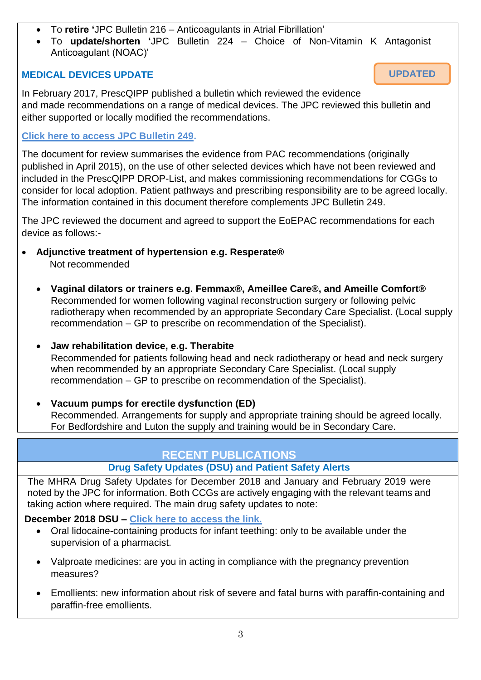- To **retire '**JPC Bulletin 216 Anticoagulants in Atrial Fibrillation'
- To **update/shorten '**JPC Bulletin 224 Choice of Non-Vitamin K Antagonist Anticoagulant (NOAC)'

**UPDATED**

#### **MEDICAL DEVICES UPDATE**

In February 2017, PrescQIPP published a bulletin which reviewed the evidence and made recommendations on a range of medical devices. The JPC reviewed this bulletin and either supported or locally modified the recommendations.

#### **[Click here to access JPC Bulletin 249.](http://www.gpref.bedfordshire.nhs.uk/media/158127/advguid_medicaldevices_bulletin249.pdf)**

The document for review summarises the evidence from PAC recommendations (originally published in April 2015), on the use of other selected devices which have not been reviewed and included in the PrescQIPP DROP-List, and makes commissioning recommendations for CGGs to consider for local adoption. Patient pathways and prescribing responsibility are to be agreed locally. The information contained in this document therefore complements JPC Bulletin 249.

The JPC reviewed the document and agreed to support the EoEPAC recommendations for each device as follows:-

- **Adjunctive treatment of hypertension e.g. Resperate®** Not recommended
	- **Vaginal dilators or trainers e.g. Femmax®, Ameillee Care®, and Ameille Comfort®** Recommended for women following vaginal reconstruction surgery or following pelvic radiotherapy when recommended by an appropriate Secondary Care Specialist. (Local supply recommendation – GP to prescribe on recommendation of the Specialist).
	- **Jaw rehabilitation device, e.g. Therabite**

Recommended for patients following head and neck radiotherapy or head and neck surgery when recommended by an appropriate Secondary Care Specialist. (Local supply recommendation – GP to prescribe on recommendation of the Specialist).

 **Vacuum pumps for erectile dysfunction (ED)** Recommended. Arrangements for supply and appropriate training should be agreed locally. For Bedfordshire and Luton the supply and training would be in Secondary Care.

### **RECENT PUBLICATIONS**

### **Drug Safety Updates (DSU) and Patient Safety Alerts**

The MHRA Drug Safety Updates for December 2018 and January and February 2019 were noted by the JPC for information. Both CCGs are actively engaging with the relevant teams and taking action where required. The main drug safety updates to note:

#### **December 2018 DSU – [Click here to access the link.](https://assets.publishing.service.gov.uk/government/uploads/system/uploads/attachment_data/file/765896/PDF-Dec-2018.pdf)**

- Oral lidocaine-containing products for infant teething: only to be available under the supervision of a pharmacist.
- Valproate medicines: are you in acting in compliance with the pregnancy prevention measures?
- Emollients: new information about risk of severe and fatal burns with paraffin-containing and paraffin-free emollients.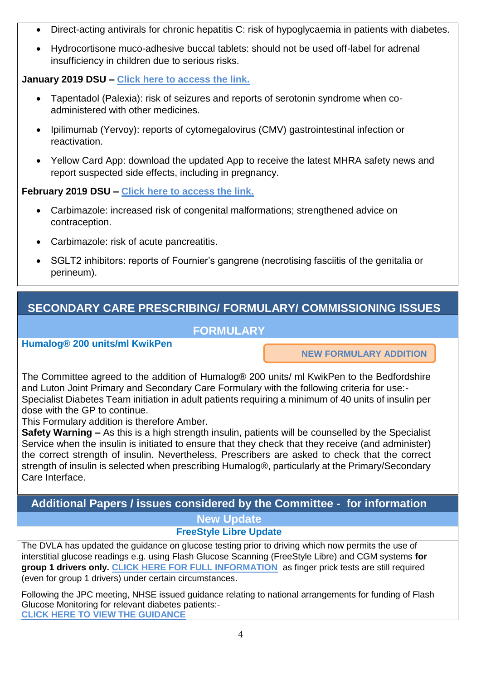- Direct-acting antivirals for chronic hepatitis C: risk of hypoglycaemia in patients with diabetes.
- Hydrocortisone muco-adhesive buccal tablets: should not be used off-label for adrenal insufficiency in children due to serious risks.

#### **January 2019 DSU – [Click here to access the link.](file:///C:/Users/flynna/AppData/Local/Microsoft/Windows/Temporary%20Internet%20Files/Content.Outlook/CEYFMBLI/Click%20here%20to%20access%20the%20link)**

- Tapentadol (Palexia): risk of seizures and reports of serotonin syndrome when coadministered with other medicines.
- Ipilimumab (Yervoy): reports of cytomegalovirus (CMV) gastrointestinal infection or reactivation.
- Yellow Card App: download the updated App to receive the latest MHRA safety news and report suspected side effects, including in pregnancy.

#### **February 2019 DSU – [Click here to access the link.](https://assets.publishing.service.gov.uk/government/uploads/system/uploads/attachment_data/file/779462/DSU-PDF-Feb-2019.pdf)**

- Carbimazole: increased risk of congenital malformations; strengthened advice on contraception.
- Carbimazole: risk of acute pancreatitis.
- SGLT2 inhibitors: reports of Fournier's gangrene (necrotising fasciitis of the genitalia or perineum).

## **SECONDARY CARE PRESCRIBING/ FORMULARY/ COMMISSIONING ISSUES**

#### **FORMULARY**

**Humalog® 200 units/ml KwikPen** 

**NEW FORMULARY ADDITION**

The Committee agreed to the addition of Humalog® 200 units/ ml KwikPen to the Bedfordshire and Luton Joint Primary and Secondary Care Formulary with the following criteria for use:- Specialist Diabetes Team initiation in adult patients requiring a minimum of 40 units of insulin per dose with the GP to continue.

This Formulary addition is therefore Amber.

**Safety Warning –** As this is a high strength insulin, patients will be counselled by the Specialist Service when the insulin is initiated to ensure that they check that they receive (and administer) the correct strength of insulin. Nevertheless, Prescribers are asked to check that the correct strength of insulin is selected when prescribing Humalog®, particularly at the Primary/Secondary Care Interface.

## **Additional Papers / issues considered by the Committee - for information New Update**

### **FreeStyle Libre Update**

The DVLA has updated the guidance on glucose testing prior to driving which now permits the use of interstitial glucose readings e.g. using Flash Glucose Scanning (FreeStyle Libre) and CGM systems **for group 1 drivers only. [CLICK HERE FOR FULL INFORMATION](https://assets.publishing.service.gov.uk/government/uploads/system/uploads/attachment_data/file/778023/inf294-a-guide-to-insulin-treated-diabetes-and-driving.pdf)** as finger prick tests are still required (even for group 1 drivers) under certain circumstances.

Following the JPC meeting, NHSE issued guidance relating to national arrangements for funding of Flash Glucose Monitoring for relevant diabetes patients:- **[CLICK HERE TO VIEW THE GUIDANCE](https://www.england.nhs.uk/publication/flash-glucose-monitoring-national-arrangements-for-funding-of-relevant-diabetes-patients/)**